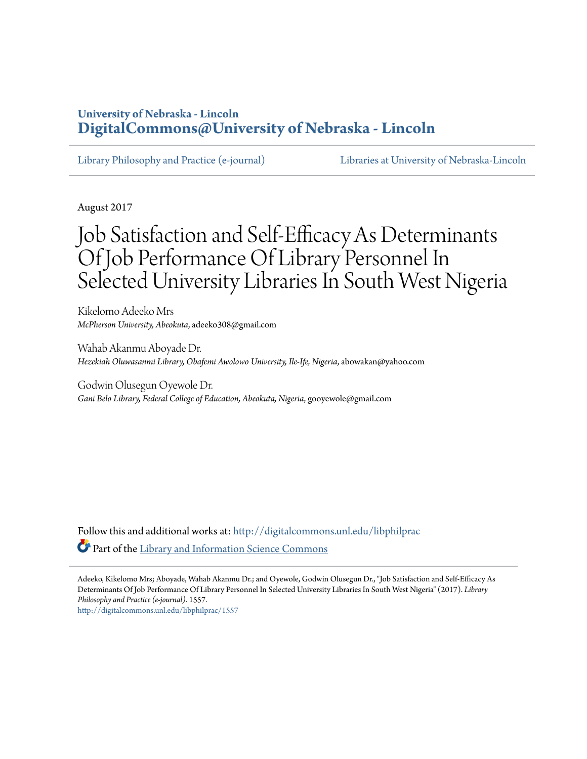### **University of Nebraska - Lincoln [DigitalCommons@University of Nebraska - Lincoln](http://digitalcommons.unl.edu?utm_source=digitalcommons.unl.edu%2Flibphilprac%2F1557&utm_medium=PDF&utm_campaign=PDFCoverPages)**

[Library Philosophy and Practice \(e-journal\)](http://digitalcommons.unl.edu/libphilprac?utm_source=digitalcommons.unl.edu%2Flibphilprac%2F1557&utm_medium=PDF&utm_campaign=PDFCoverPages) [Libraries at University of Nebraska-Lincoln](http://digitalcommons.unl.edu/libraries?utm_source=digitalcommons.unl.edu%2Flibphilprac%2F1557&utm_medium=PDF&utm_campaign=PDFCoverPages)

August 2017

# Job Satisfaction and Self-Efficacy As Determinants Of Job Performance Of Library Personnel In Selected University Libraries In South West Nigeria

Kikelomo Adeeko Mrs *McPherson University, Abeokuta*, adeeko308@gmail.com

Wahab Akanmu Aboyade Dr. *Hezekiah Oluwasanmi Library, Obafemi Awolowo University, Ile-Ife, Nigeria*, abowakan@yahoo.com

Godwin Olusegun Oyewole Dr. *Gani Belo Library, Federal College of Education, Abeokuta, Nigeria*, gooyewole@gmail.com

Follow this and additional works at: [http://digitalcommons.unl.edu/libphilprac](http://digitalcommons.unl.edu/libphilprac?utm_source=digitalcommons.unl.edu%2Flibphilprac%2F1557&utm_medium=PDF&utm_campaign=PDFCoverPages) Part of the [Library and Information Science Commons](http://network.bepress.com/hgg/discipline/1018?utm_source=digitalcommons.unl.edu%2Flibphilprac%2F1557&utm_medium=PDF&utm_campaign=PDFCoverPages)

Adeeko, Kikelomo Mrs; Aboyade, Wahab Akanmu Dr.; and Oyewole, Godwin Olusegun Dr., "Job Satisfaction and Self-Efficacy As Determinants Of Job Performance Of Library Personnel In Selected University Libraries In South West Nigeria" (2017). *Library Philosophy and Practice (e-journal)*. 1557. [http://digitalcommons.unl.edu/libphilprac/1557](http://digitalcommons.unl.edu/libphilprac/1557?utm_source=digitalcommons.unl.edu%2Flibphilprac%2F1557&utm_medium=PDF&utm_campaign=PDFCoverPages)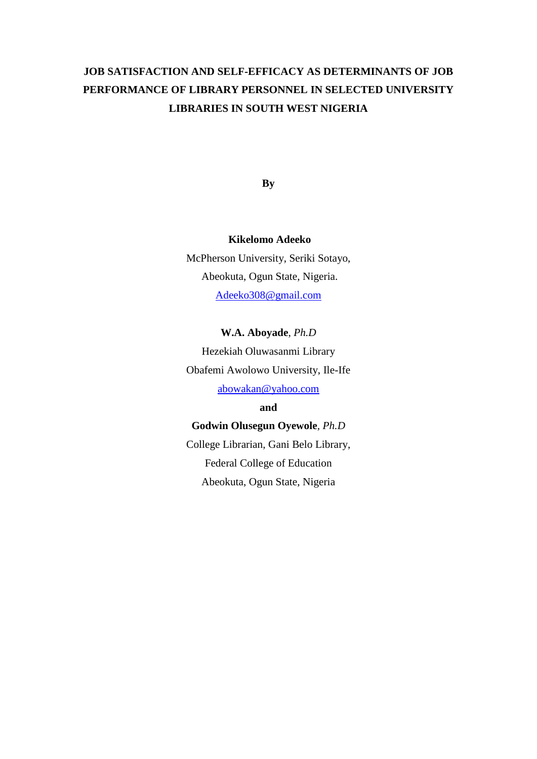# **JOB SATISFACTION AND SELF-EFFICACY AS DETERMINANTS OF JOB PERFORMANCE OF LIBRARY PERSONNEL IN SELECTED UNIVERSITY LIBRARIES IN SOUTH WEST NIGERIA**

**By**

#### **Kikelomo Adeeko**

McPherson University, Seriki Sotayo, Abeokuta, Ogun State, Nigeria. [Adeeko308@gmail.com](mailto:Adeeko308@gmail.com)

#### **W.A. Aboyade**, *Ph.D*

Hezekiah Oluwasanmi Library Obafemi Awolowo University, Ile-Ife [abowakan@yahoo.com](mailto:abowakan@yahoo.com)

#### **and**

#### **Godwin Olusegun Oyewole***, Ph.D*

College Librarian, Gani Belo Library, Federal College of Education Abeokuta, Ogun State, Nigeria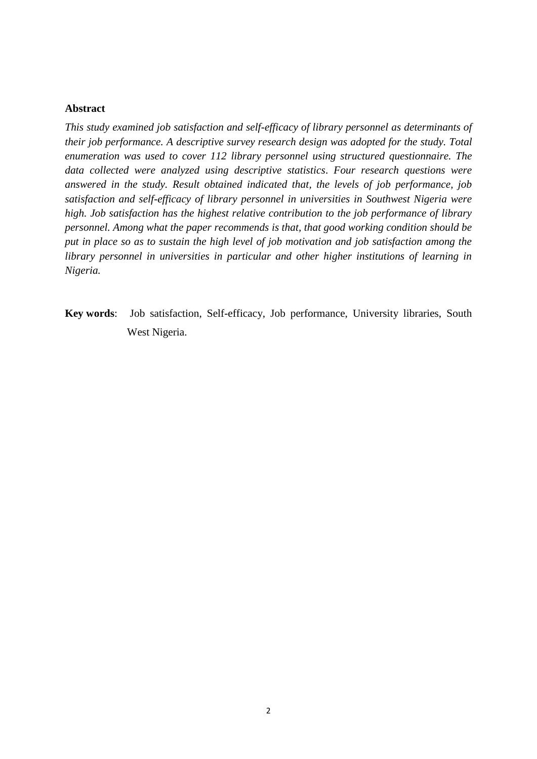#### **Abstract**

*This study examined job satisfaction and self-efficacy of library personnel as determinants of their job performance. A descriptive survey research design was adopted for the study. Total enumeration was used to cover 112 library personnel using structured questionnaire. The data collected were analyzed using descriptive statistics*. *Four research questions were answered in the study. Result obtained indicated that, the levels of job performance, job satisfaction and self-efficacy of library personnel in universities in Southwest Nigeria were high. Job satisfaction has the highest relative contribution to the job performance of library personnel. Among what the paper recommends is that, that good working condition should be put in place so as to sustain the high level of job motivation and job satisfaction among the library personnel in universities in particular and other higher institutions of learning in Nigeria.*

**Key words**: Job satisfaction, Self-efficacy, Job performance, University libraries, South West Nigeria.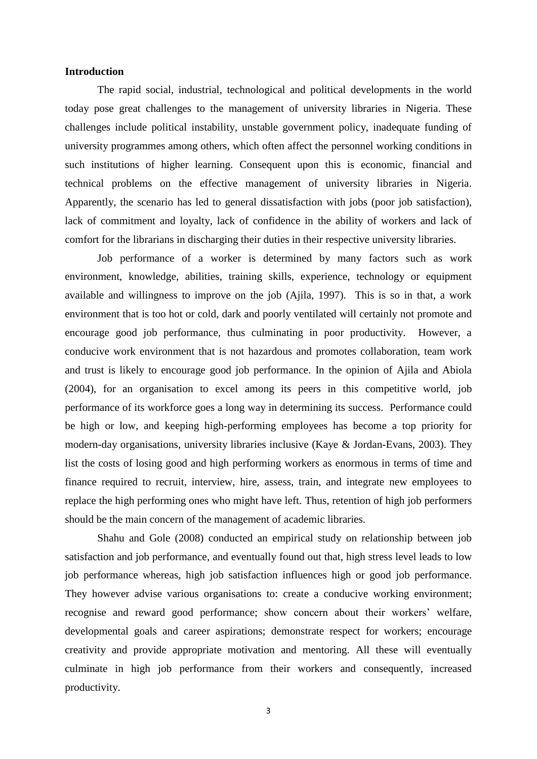#### **Introduction**

The rapid social, industrial, technological and political developments in the world today pose great challenges to the management of university libraries in Nigeria. These challenges include political instability, unstable government policy, inadequate funding of university programmes among others, which often affect the personnel working conditions in such institutions of higher learning. Consequent upon this is economic, financial and technical problems on the effective management of university libraries in Nigeria. Apparently, the scenario has led to general dissatisfaction with jobs (poor job satisfaction), lack of commitment and loyalty, lack of confidence in the ability of workers and lack of comfort for the librarians in discharging their duties in their respective university libraries.

Job performance of a worker is determined by many factors such as work environment, knowledge, abilities, training skills, experience, technology or equipment available and willingness to improve on the job (Ajila, 1997). This is so in that, a work environment that is too hot or cold, dark and poorly ventilated will certainly not promote and encourage good job performance, thus culminating in poor productivity. However, a conducive work environment that is not hazardous and promotes collaboration, team work and trust is likely to encourage good job performance. In the opinion of Ajila and Abiola (2004), for an organisation to excel among its peers in this competitive world, job performance of its workforce goes a long way in determining its success. Performance could be high or low, and keeping high-performing employees has become a top priority for modern-day organisations, university libraries inclusive (Kaye & Jordan-Evans, 2003). They list the costs of losing good and high performing workers as enormous in terms of time and finance required to recruit, interview, hire, assess, train, and integrate new employees to replace the high performing ones who might have left. Thus, retention of high job performers should be the main concern of the management of academic libraries.

Shahu and Gole (2008) conducted an empirical study on relationship between job satisfaction and job performance, and eventually found out that, high stress level leads to low job performance whereas, high job satisfaction influences high or good job performance. They however advise various organisations to: create a conducive working environment; recognise and reward good performance; show concern about their workers' welfare, developmental goals and career aspirations; demonstrate respect for workers; encourage creativity and provide appropriate motivation and mentoring. All these will eventually culminate in high job performance from their workers and consequently, increased productivity.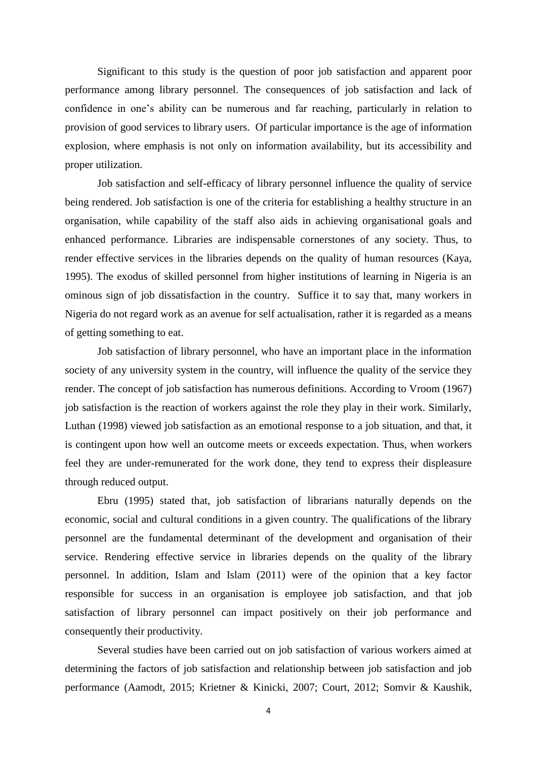Significant to this study is the question of poor job satisfaction and apparent poor performance among library personnel. The consequences of job satisfaction and lack of confidence in one's ability can be numerous and far reaching, particularly in relation to provision of good services to library users. Of particular importance is the age of information explosion, where emphasis is not only on information availability, but its accessibility and proper utilization.

Job satisfaction and self-efficacy of library personnel influence the quality of service being rendered. Job satisfaction is one of the criteria for establishing a healthy structure in an organisation, while capability of the staff also aids in achieving organisational goals and enhanced performance. Libraries are indispensable cornerstones of any society. Thus, to render effective services in the libraries depends on the quality of human resources (Kaya, 1995). The exodus of skilled personnel from higher institutions of learning in Nigeria is an ominous sign of job dissatisfaction in the country. Suffice it to say that, many workers in Nigeria do not regard work as an avenue for self actualisation, rather it is regarded as a means of getting something to eat.

Job satisfaction of library personnel, who have an important place in the information society of any university system in the country, will influence the quality of the service they render. The concept of job satisfaction has numerous definitions. According to Vroom (1967) job satisfaction is the reaction of workers against the role they play in their work. Similarly, Luthan (1998) viewed job satisfaction as an emotional response to a job situation, and that, it is contingent upon how well an outcome meets or exceeds expectation. Thus, when workers feel they are under-remunerated for the work done, they tend to express their displeasure through reduced output.

Ebru (1995) stated that, job satisfaction of librarians naturally depends on the economic, social and cultural conditions in a given country. The qualifications of the library personnel are the fundamental determinant of the development and organisation of their service. Rendering effective service in libraries depends on the quality of the library personnel. In addition, Islam and Islam (2011) were of the opinion that a key factor responsible for success in an organisation is employee job satisfaction, and that job satisfaction of library personnel can impact positively on their job performance and consequently their productivity.

Several studies have been carried out on job satisfaction of various workers aimed at determining the factors of job satisfaction and relationship between job satisfaction and job performance (Aamodt, 2015; Krietner & Kinicki, 2007; Court, 2012; Somvir & Kaushik,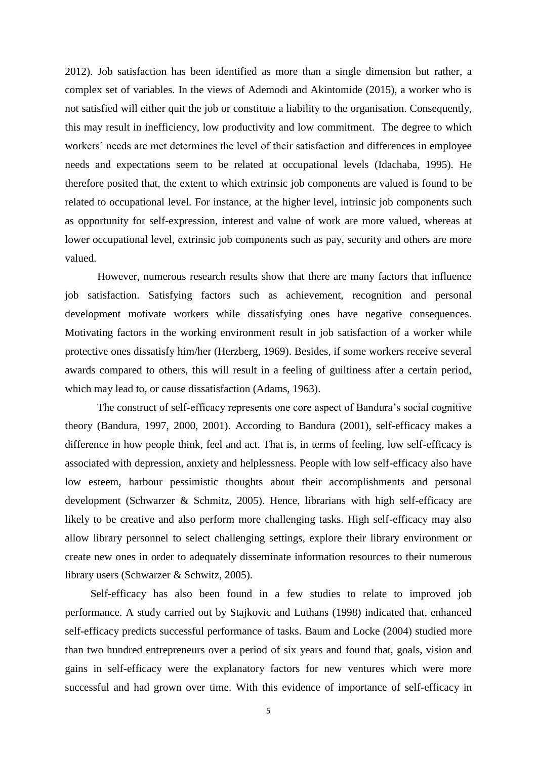2012). Job satisfaction has been identified as more than a single dimension but rather, a complex set of variables. In the views of Ademodi and Akintomide (2015), a worker who is not satisfied will either quit the job or constitute a liability to the organisation. Consequently, this may result in inefficiency, low productivity and low commitment. The degree to which workers' needs are met determines the level of their satisfaction and differences in employee needs and expectations seem to be related at occupational levels (Idachaba, 1995). He therefore posited that, the extent to which extrinsic job components are valued is found to be related to occupational level. For instance, at the higher level, intrinsic job components such as opportunity for self-expression, interest and value of work are more valued, whereas at lower occupational level, extrinsic job components such as pay, security and others are more valued.

However, numerous research results show that there are many factors that influence job satisfaction. Satisfying factors such as achievement, recognition and personal development motivate workers while dissatisfying ones have negative consequences. Motivating factors in the working environment result in job satisfaction of a worker while protective ones dissatisfy him/her (Herzberg, 1969). Besides, if some workers receive several awards compared to others, this will result in a feeling of guiltiness after a certain period, which may lead to, or cause dissatisfaction (Adams, 1963).

The construct of self-efficacy represents one core aspect of Bandura's social cognitive theory (Bandura, 1997, 2000, 2001). According to Bandura (2001), self-efficacy makes a difference in how people think, feel and act. That is, in terms of feeling, low self-efficacy is associated with depression, anxiety and helplessness. People with low self-efficacy also have low esteem, harbour pessimistic thoughts about their accomplishments and personal development (Schwarzer & Schmitz, 2005). Hence, librarians with high self-efficacy are likely to be creative and also perform more challenging tasks. High self-efficacy may also allow library personnel to select challenging settings, explore their library environment or create new ones in order to adequately disseminate information resources to their numerous library users (Schwarzer & Schwitz, 2005).

Self-efficacy has also been found in a few studies to relate to improved job performance. A study carried out by Stajkovic and Luthans (1998) indicated that, enhanced self-efficacy predicts successful performance of tasks. Baum and Locke (2004) studied more than two hundred entrepreneurs over a period of six years and found that, goals, vision and gains in self-efficacy were the explanatory factors for new ventures which were more successful and had grown over time. With this evidence of importance of self-efficacy in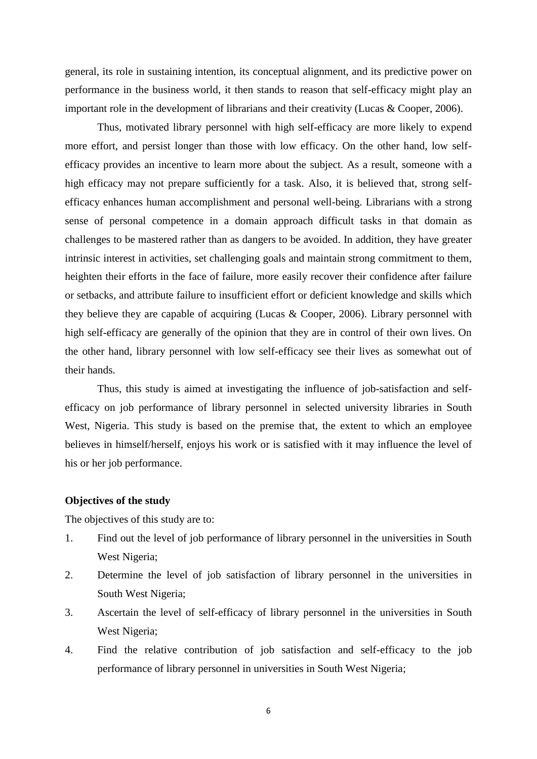general, its role in sustaining intention, its conceptual alignment, and its predictive power on performance in the business world, it then stands to reason that self-efficacy might play an important role in the development of librarians and their creativity (Lucas & Cooper, 2006).

Thus, motivated library personnel with high self-efficacy are more likely to expend more effort, and persist longer than those with low efficacy. On the other hand, low selfefficacy provides an incentive to learn more about the subject. As a result, someone with a high efficacy may not prepare sufficiently for a task. Also, it is believed that, strong selfefficacy enhances human accomplishment and personal well-being. Librarians with a strong sense of personal competence in a domain approach difficult tasks in that domain as challenges to be mastered rather than as dangers to be avoided. In addition, they have greater intrinsic interest in activities, set challenging goals and maintain strong commitment to them, heighten their efforts in the face of failure, more easily recover their confidence after failure or setbacks, and attribute failure to insufficient effort or deficient knowledge and skills which they believe they are capable of acquiring (Lucas & Cooper, 2006). Library personnel with high self-efficacy are generally of the opinion that they are in control of their own lives. On the other hand, library personnel with low self-efficacy see their lives as somewhat out of their hands.

Thus, this study is aimed at investigating the influence of job-satisfaction and selfefficacy on job performance of library personnel in selected university libraries in South West, Nigeria. This study is based on the premise that, the extent to which an employee believes in himself/herself, enjoys his work or is satisfied with it may influence the level of his or her job performance.

#### **Objectives of the study**

The objectives of this study are to:

- 1. Find out the level of job performance of library personnel in the universities in South West Nigeria;
- 2. Determine the level of job satisfaction of library personnel in the universities in South West Nigeria;
- 3. Ascertain the level of self-efficacy of library personnel in the universities in South West Nigeria;
- 4. Find the relative contribution of job satisfaction and self-efficacy to the job performance of library personnel in universities in South West Nigeria;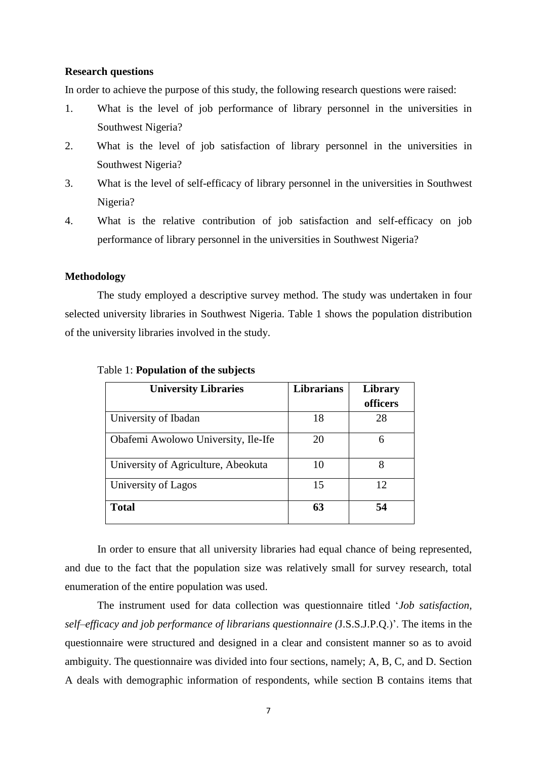#### **Research questions**

In order to achieve the purpose of this study, the following research questions were raised:

- 1. What is the level of job performance of library personnel in the universities in Southwest Nigeria?
- 2. What is the level of job satisfaction of library personnel in the universities in Southwest Nigeria?
- 3. What is the level of self-efficacy of library personnel in the universities in Southwest Nigeria?
- 4. What is the relative contribution of job satisfaction and self-efficacy on job performance of library personnel in the universities in Southwest Nigeria?

#### **Methodology**

The study employed a descriptive survey method. The study was undertaken in four selected university libraries in Southwest Nigeria. Table 1 shows the population distribution of the university libraries involved in the study.

| <b>University Libraries</b>         | <b>Librarians</b> | <b>Library</b><br>officers |
|-------------------------------------|-------------------|----------------------------|
| University of Ibadan                | 18                | 28                         |
| Obafemi Awolowo University, Ile-Ife | 20                | 6                          |
| University of Agriculture, Abeokuta | 10                | 8                          |
| University of Lagos                 | 15                | 12                         |
| <b>Total</b>                        | 63                | 54                         |

#### Table 1: **Population of the subjects**

In order to ensure that all university libraries had equal chance of being represented, and due to the fact that the population size was relatively small for survey research, total enumeration of the entire population was used.

The instrument used for data collection was questionnaire titled '*Job satisfaction, self–efficacy and job performance of librarians questionnaire (*J.S.S.J.P.Q.)'. The items in the questionnaire were structured and designed in a clear and consistent manner so as to avoid ambiguity. The questionnaire was divided into four sections, namely; A, B, C, and D. Section A deals with demographic information of respondents, while section B contains items that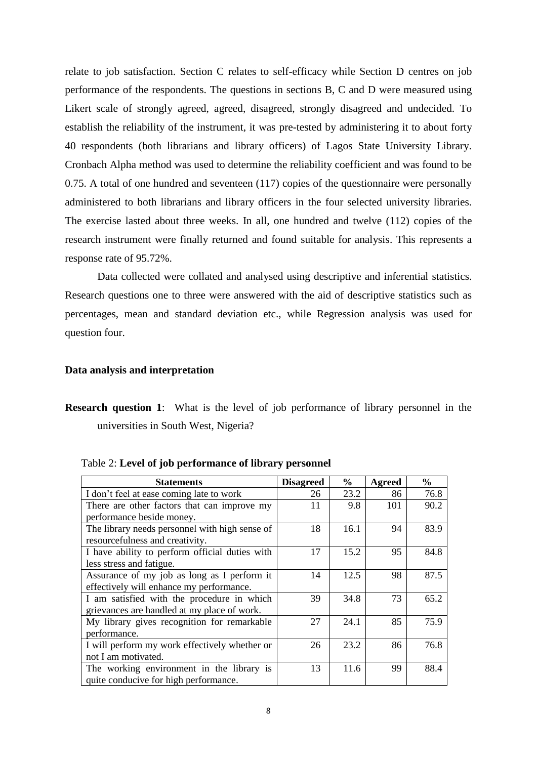relate to job satisfaction. Section C relates to self-efficacy while Section D centres on job performance of the respondents. The questions in sections B, C and D were measured using Likert scale of strongly agreed, agreed, disagreed, strongly disagreed and undecided. To establish the reliability of the instrument, it was pre-tested by administering it to about forty 40 respondents (both librarians and library officers) of Lagos State University Library. Cronbach Alpha method was used to determine the reliability coefficient and was found to be 0.75. A total of one hundred and seventeen (117) copies of the questionnaire were personally administered to both librarians and library officers in the four selected university libraries. The exercise lasted about three weeks. In all, one hundred and twelve (112) copies of the research instrument were finally returned and found suitable for analysis. This represents a response rate of 95.72%.

Data collected were collated and analysed using descriptive and inferential statistics. Research questions one to three were answered with the aid of descriptive statistics such as percentages, mean and standard deviation etc., while Regression analysis was used for question four.

#### **Data analysis and interpretation**

**Research question 1:** What is the level of job performance of library personnel in the universities in South West, Nigeria?

| <b>Statements</b>                                                                         | <b>Disagreed</b> | $\frac{6}{9}$ | Agreed | $\frac{6}{10}$ |
|-------------------------------------------------------------------------------------------|------------------|---------------|--------|----------------|
| I don't feel at ease coming late to work                                                  | 26               | 23.2          | 86     | 76.8           |
| There are other factors that can improve my<br>performance beside money.                  | 11               | 9.8           | 101    | 90.2           |
| The library needs personnel with high sense of<br>resourcefulness and creativity.         | 18               | 16.1          | 94     | 83.9           |
| I have ability to perform official duties with<br>less stress and fatigue.                | 17               | 15.2          | 95     | 84.8           |
| Assurance of my job as long as I perform it<br>effectively will enhance my performance.   | 14               | 12.5          | 98     | 87.5           |
| I am satisfied with the procedure in which<br>grievances are handled at my place of work. | 39               | 34.8          | 73     | 65.2           |
| My library gives recognition for remarkable<br>performance.                               | 27               | 24.1          | 85     | 75.9           |
| I will perform my work effectively whether or<br>not I am motivated.                      | 26               | 23.2          | 86     | 76.8           |
| The working environment in the library is<br>quite conducive for high performance.        | 13               | 11.6          | 99     | 88.4           |

Table 2: **Level of job performance of library personnel**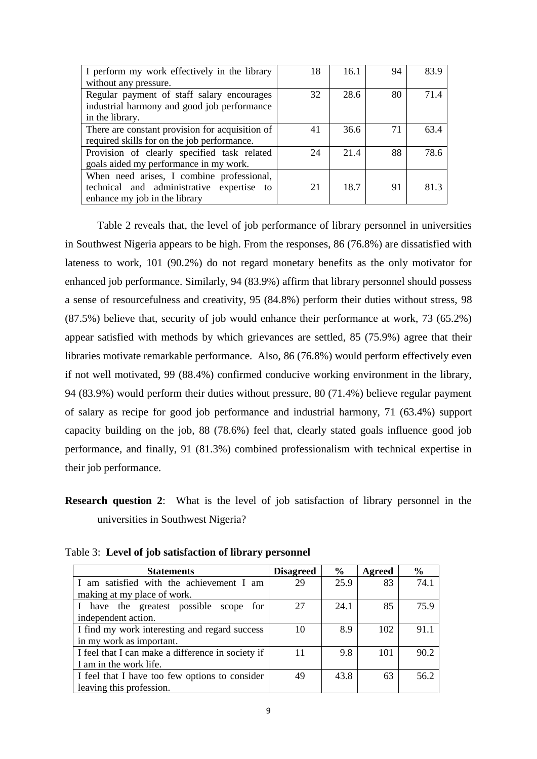| I perform my work effectively in the library    | 18 | 16.1 | 94 | 83.9 |
|-------------------------------------------------|----|------|----|------|
| without any pressure.                           |    |      |    |      |
| Regular payment of staff salary encourages      | 32 | 28.6 | 80 | 71.4 |
| industrial harmony and good job performance     |    |      |    |      |
| in the library.                                 |    |      |    |      |
| There are constant provision for acquisition of | 41 | 36.6 | 71 | 63.4 |
| required skills for on the job performance.     |    |      |    |      |
| Provision of clearly specified task related     | 24 | 21.4 | 88 | 78.6 |
| goals aided my performance in my work.          |    |      |    |      |
| When need arises, I combine professional,       |    |      |    |      |
| technical and administrative expertise to       | 21 | 18.7 | 91 | 813  |
| enhance my job in the library                   |    |      |    |      |

Table 2 reveals that, the level of job performance of library personnel in universities in Southwest Nigeria appears to be high. From the responses, 86 (76.8%) are dissatisfied with lateness to work, 101 (90.2%) do not regard monetary benefits as the only motivator for enhanced job performance. Similarly, 94 (83.9%) affirm that library personnel should possess a sense of resourcefulness and creativity, 95 (84.8%) perform their duties without stress, 98 (87.5%) believe that, security of job would enhance their performance at work, 73 (65.2%) appear satisfied with methods by which grievances are settled, 85 (75.9%) agree that their libraries motivate remarkable performance. Also, 86 (76.8%) would perform effectively even if not well motivated, 99 (88.4%) confirmed conducive working environment in the library, 94 (83.9%) would perform their duties without pressure, 80 (71.4%) believe regular payment of salary as recipe for good job performance and industrial harmony, 71 (63.4%) support capacity building on the job, 88 (78.6%) feel that, clearly stated goals influence good job performance, and finally, 91 (81.3%) combined professionalism with technical expertise in their job performance.

**Research question 2**: What is the level of job satisfaction of library personnel in the universities in Southwest Nigeria?

Table 3: **Level of job satisfaction of library personnel**

| <b>Statements</b>                                 | <b>Disagreed</b> | $\%$ | Agreed | $\frac{6}{9}$ |
|---------------------------------------------------|------------------|------|--------|---------------|
| I am satisfied with the achievement I am          | 29               | 25.9 | 83     | 74.1          |
| making at my place of work.                       |                  |      |        |               |
| I have the greatest possible scope for            | 27               | 24.1 | 85     | 75.9          |
| independent action.                               |                  |      |        |               |
| I find my work interesting and regard success     | 10               | 8.9  | 102    | 91.1          |
| in my work as important.                          |                  |      |        |               |
| I feel that I can make a difference in society if | 11               | 9.8  | 101    | 90.2          |
| I am in the work life.                            |                  |      |        |               |
| I feel that I have too few options to consider    | 49               | 43.8 | 63     | 56.2          |
| leaving this profession.                          |                  |      |        |               |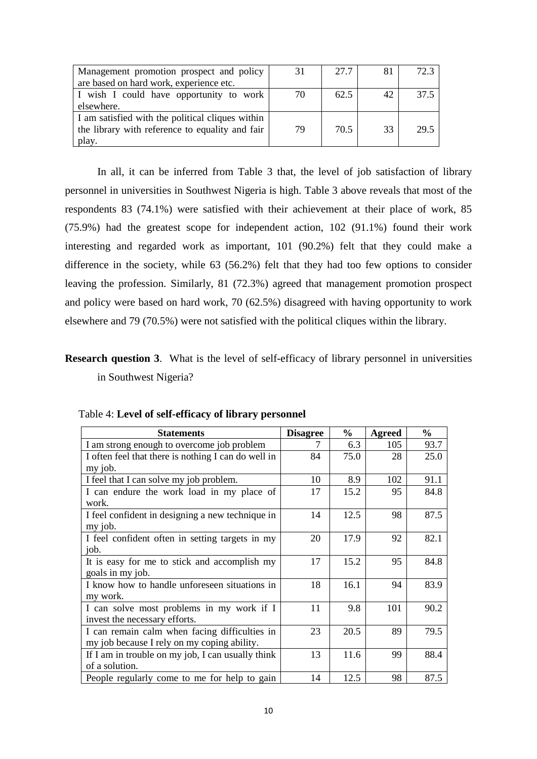| Management promotion prospect and policy         | 31 | 27.7 | 81 | 72.3 |
|--------------------------------------------------|----|------|----|------|
| are based on hard work, experience etc.          |    |      |    |      |
| I wish I could have opportunity to work          | 70 | 62.5 | 42 | 37.5 |
| elsewhere.                                       |    |      |    |      |
| I am satisfied with the political cliques within |    |      |    |      |
| the library with reference to equality and fair  | 79 | 70.5 | 33 | 29.5 |
| play.                                            |    |      |    |      |

In all, it can be inferred from Table 3 that, the level of job satisfaction of library personnel in universities in Southwest Nigeria is high. Table 3 above reveals that most of the respondents 83 (74.1%) were satisfied with their achievement at their place of work, 85 (75.9%) had the greatest scope for independent action, 102 (91.1%) found their work interesting and regarded work as important, 101 (90.2%) felt that they could make a difference in the society, while 63 (56.2%) felt that they had too few options to consider leaving the profession. Similarly, 81 (72.3%) agreed that management promotion prospect and policy were based on hard work, 70 (62.5%) disagreed with having opportunity to work elsewhere and 79 (70.5%) were not satisfied with the political cliques within the library.

## **Research question 3**. What is the level of self-efficacy of library personnel in universities in Southwest Nigeria?

| <b>Statements</b>                                   | <b>Disagree</b> | $\frac{1}{2}$ | Agreed | $\frac{0}{0}$ |
|-----------------------------------------------------|-----------------|---------------|--------|---------------|
| I am strong enough to overcome job problem          |                 | 6.3           | 105    | 93.7          |
| I often feel that there is nothing I can do well in | 84              | 75.0          | 28     | 25.0          |
| my job.                                             |                 |               |        |               |
| I feel that I can solve my job problem.             | 10              | 8.9           | 102    | 91.1          |
| I can endure the work load in my place of           | 17              | 15.2          | 95     | 84.8          |
| work.                                               |                 |               |        |               |
| I feel confident in designing a new technique in    | 14              | 12.5          | 98     | 87.5          |
| my job.                                             |                 |               |        |               |
| I feel confident often in setting targets in my     | 20              | 17.9          | 92     | 82.1          |
| job.                                                |                 |               |        |               |
| It is easy for me to stick and accomplish my        | 17              | 15.2          | 95     | 84.8          |
| goals in my job.                                    |                 |               |        |               |
| I know how to handle unforeseen situations in       | 18              | 16.1          | 94     | 83.9          |
| my work.                                            |                 |               |        |               |
| I can solve most problems in my work if I           | 11              | 9.8           | 101    | 90.2          |
| invest the necessary efforts.                       |                 |               |        |               |
| I can remain calm when facing difficulties in       | 23              | 20.5          | 89     | 79.5          |
| my job because I rely on my coping ability.         |                 |               |        |               |
| If I am in trouble on my job, I can usually think   | 13              | 11.6          | 99     | 88.4          |
| of a solution.                                      |                 |               |        |               |
| People regularly come to me for help to gain        | 14              | 12.5          | 98     | 87.5          |

|  | Table 4: Level of self-efficacy of library personnel |  |  |
|--|------------------------------------------------------|--|--|
|--|------------------------------------------------------|--|--|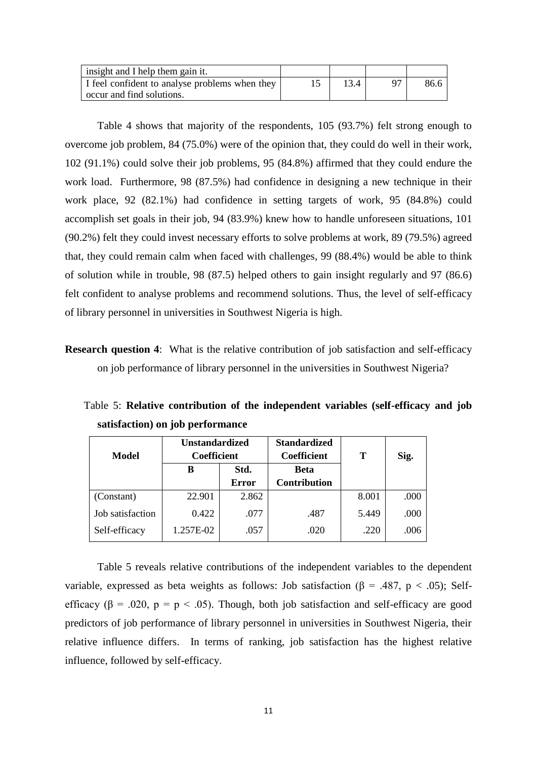| insight and I help them gain it.               |      |      |
|------------------------------------------------|------|------|
| I feel confident to analyse problems when they | 13.4 | 86.6 |
| occur and find solutions.                      |      |      |

Table 4 shows that majority of the respondents, 105 (93.7%) felt strong enough to overcome job problem, 84 (75.0%) were of the opinion that, they could do well in their work, 102 (91.1%) could solve their job problems, 95 (84.8%) affirmed that they could endure the work load. Furthermore, 98 (87.5%) had confidence in designing a new technique in their work place, 92 (82.1%) had confidence in setting targets of work, 95 (84.8%) could accomplish set goals in their job, 94 (83.9%) knew how to handle unforeseen situations, 101 (90.2%) felt they could invest necessary efforts to solve problems at work, 89 (79.5%) agreed that, they could remain calm when faced with challenges, 99 (88.4%) would be able to think of solution while in trouble, 98 (87.5) helped others to gain insight regularly and 97 (86.6) felt confident to analyse problems and recommend solutions. Thus, the level of self-efficacy of library personnel in universities in Southwest Nigeria is high.

**Research question 4**: What is the relative contribution of job satisfaction and self-efficacy on job performance of library personnel in the universities in Southwest Nigeria?

 Table 5: **Relative contribution of the independent variables (self-efficacy and job satisfaction) on job performance** 

| Model            | <b>Unstandardized</b><br><b>Coefficient</b> |              | <b>Standardized</b><br>Coefficient |       | Т    | Sig. |
|------------------|---------------------------------------------|--------------|------------------------------------|-------|------|------|
|                  | в                                           | Std.         | <b>Beta</b>                        |       |      |      |
|                  |                                             | <b>Error</b> | <b>Contribution</b>                |       |      |      |
| (Constant)       | 22.901                                      | 2.862        |                                    | 8.001 | .000 |      |
| Job satisfaction | 0.422                                       | .077         | .487                               | 5.449 | .000 |      |
| Self-efficacy    | 1.257E-02                                   | .057         | .020                               | .220  | .006 |      |

Table 5 reveals relative contributions of the independent variables to the dependent variable, expressed as beta weights as follows: Job satisfaction ( $\beta$  = .487, p < .05); Selfefficacy ( $\beta$  = .020,  $p = p < .05$ ). Though, both job satisfaction and self-efficacy are good predictors of job performance of library personnel in universities in Southwest Nigeria, their relative influence differs. In terms of ranking, job satisfaction has the highest relative influence, followed by self-efficacy.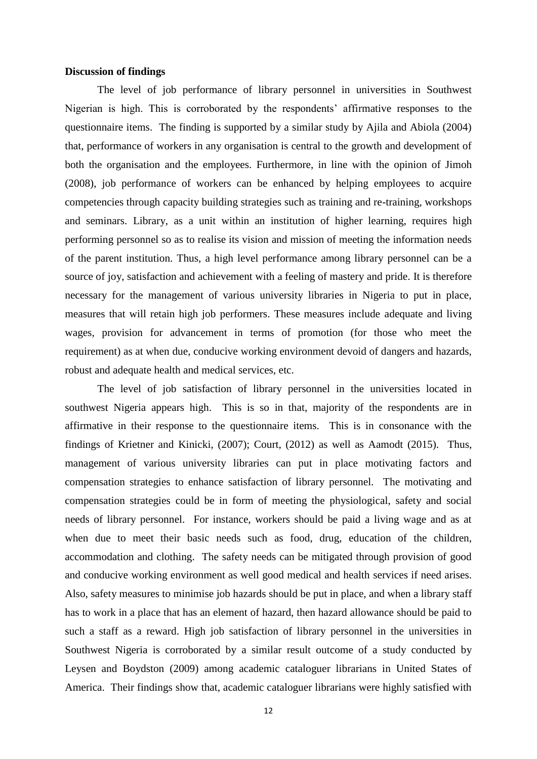#### **Discussion of findings**

The level of job performance of library personnel in universities in Southwest Nigerian is high. This is corroborated by the respondents' affirmative responses to the questionnaire items. The finding is supported by a similar study by Ajila and Abiola (2004) that, performance of workers in any organisation is central to the growth and development of both the organisation and the employees. Furthermore, in line with the opinion of Jimoh (2008), job performance of workers can be enhanced by helping employees to acquire competencies through capacity building strategies such as training and re-training, workshops and seminars. Library, as a unit within an institution of higher learning, requires high performing personnel so as to realise its vision and mission of meeting the information needs of the parent institution. Thus, a high level performance among library personnel can be a source of joy, satisfaction and achievement with a feeling of mastery and pride. It is therefore necessary for the management of various university libraries in Nigeria to put in place, measures that will retain high job performers. These measures include adequate and living wages, provision for advancement in terms of promotion (for those who meet the requirement) as at when due, conducive working environment devoid of dangers and hazards, robust and adequate health and medical services, etc.

The level of job satisfaction of library personnel in the universities located in southwest Nigeria appears high. This is so in that, majority of the respondents are in affirmative in their response to the questionnaire items. This is in consonance with the findings of Krietner and Kinicki, (2007); Court, (2012) as well as Aamodt (2015). Thus, management of various university libraries can put in place motivating factors and compensation strategies to enhance satisfaction of library personnel. The motivating and compensation strategies could be in form of meeting the physiological, safety and social needs of library personnel. For instance, workers should be paid a living wage and as at when due to meet their basic needs such as food, drug, education of the children, accommodation and clothing. The safety needs can be mitigated through provision of good and conducive working environment as well good medical and health services if need arises. Also, safety measures to minimise job hazards should be put in place, and when a library staff has to work in a place that has an element of hazard, then hazard allowance should be paid to such a staff as a reward. High job satisfaction of library personnel in the universities in Southwest Nigeria is corroborated by a similar result outcome of a study conducted by Leysen and Boydston (2009) among academic cataloguer librarians in United States of America. Their findings show that, academic cataloguer librarians were highly satisfied with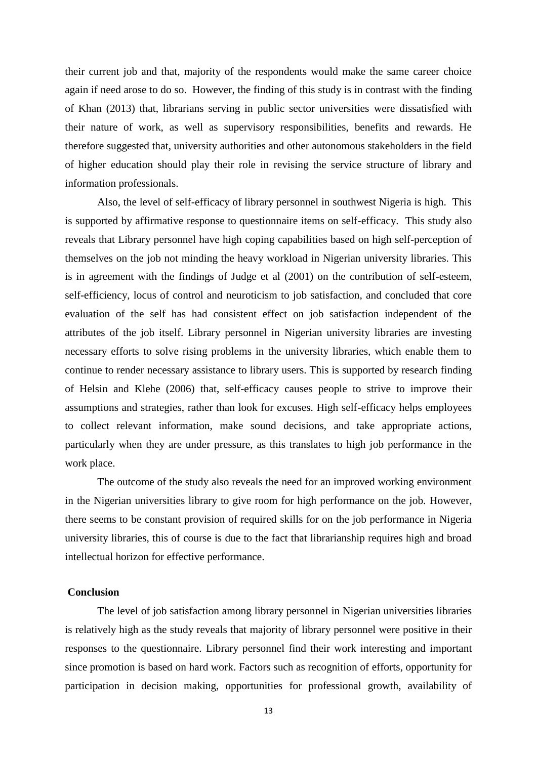their current job and that, majority of the respondents would make the same career choice again if need arose to do so. However, the finding of this study is in contrast with the finding of Khan (2013) that, librarians serving in public sector universities were dissatisfied with their nature of work, as well as supervisory responsibilities, benefits and rewards. He therefore suggested that, university authorities and other autonomous stakeholders in the field of higher education should play their role in revising the service structure of library and information professionals.

Also, the level of self-efficacy of library personnel in southwest Nigeria is high. This is supported by affirmative response to questionnaire items on self-efficacy. This study also reveals that Library personnel have high coping capabilities based on high self-perception of themselves on the job not minding the heavy workload in Nigerian university libraries. This is in agreement with the findings of Judge et al (2001) on the contribution of self-esteem, self-efficiency, locus of control and neuroticism to job satisfaction, and concluded that core evaluation of the self has had consistent effect on job satisfaction independent of the attributes of the job itself. Library personnel in Nigerian university libraries are investing necessary efforts to solve rising problems in the university libraries, which enable them to continue to render necessary assistance to library users. This is supported by research finding of Helsin and Klehe (2006) that, self-efficacy causes people to strive to improve their assumptions and strategies, rather than look for excuses. High self-efficacy helps employees to collect relevant information, make sound decisions, and take appropriate actions, particularly when they are under pressure, as this translates to high job performance in the work place.

The outcome of the study also reveals the need for an improved working environment in the Nigerian universities library to give room for high performance on the job. However, there seems to be constant provision of required skills for on the job performance in Nigeria university libraries, this of course is due to the fact that librarianship requires high and broad intellectual horizon for effective performance.

#### **Conclusion**

The level of job satisfaction among library personnel in Nigerian universities libraries is relatively high as the study reveals that majority of library personnel were positive in their responses to the questionnaire. Library personnel find their work interesting and important since promotion is based on hard work. Factors such as recognition of efforts, opportunity for participation in decision making, opportunities for professional growth, availability of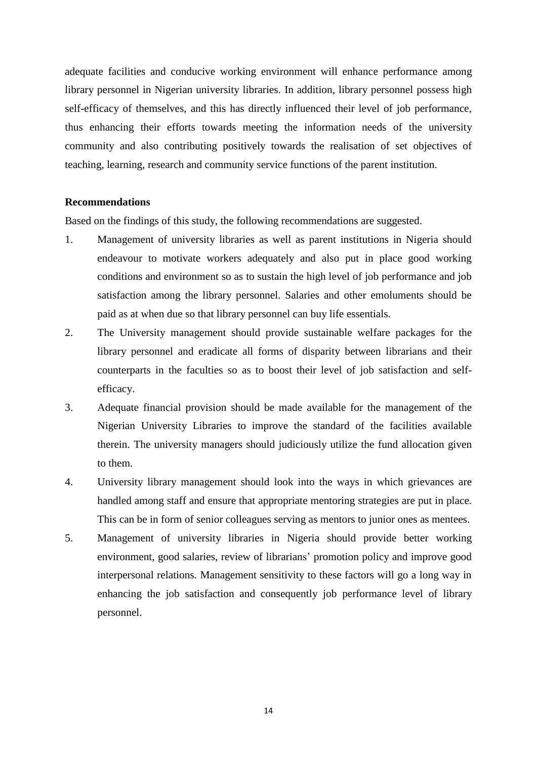adequate facilities and conducive working environment will enhance performance among library personnel in Nigerian university libraries. In addition, library personnel possess high self-efficacy of themselves, and this has directly influenced their level of job performance, thus enhancing their efforts towards meeting the information needs of the university community and also contributing positively towards the realisation of set objectives of teaching, learning, research and community service functions of the parent institution.

#### **Recommendations**

Based on the findings of this study, the following recommendations are suggested.

- 1. Management of university libraries as well as parent institutions in Nigeria should endeavour to motivate workers adequately and also put in place good working conditions and environment so as to sustain the high level of job performance and job satisfaction among the library personnel. Salaries and other emoluments should be paid as at when due so that library personnel can buy life essentials.
- 2. The University management should provide sustainable welfare packages for the library personnel and eradicate all forms of disparity between librarians and their counterparts in the faculties so as to boost their level of job satisfaction and selfefficacy.
- 3. Adequate financial provision should be made available for the management of the Nigerian University Libraries to improve the standard of the facilities available therein. The university managers should judiciously utilize the fund allocation given to them.
- 4. University library management should look into the ways in which grievances are handled among staff and ensure that appropriate mentoring strategies are put in place. This can be in form of senior colleagues serving as mentors to junior ones as mentees.
- 5. Management of university libraries in Nigeria should provide better working environment, good salaries, review of librarians' promotion policy and improve good interpersonal relations. Management sensitivity to these factors will go a long way in enhancing the job satisfaction and consequently job performance level of library personnel.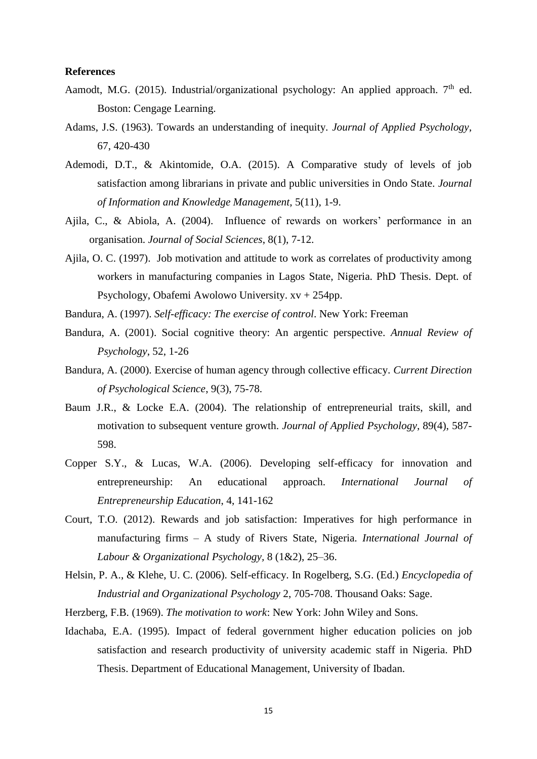#### **References**

- Aamodt, M.G. (2015). Industrial/organizational psychology: An applied approach.  $7<sup>th</sup>$  ed. Boston: Cengage Learning.
- Adams, J.S. (1963). Towards an understanding of inequity. *Journal of Applied Psychology*, 67, 420-430
- Ademodi, D.T., & Akintomide, O.A. (2015). A Comparative study of levels of job satisfaction among librarians in private and public universities in Ondo State. *Journal of Information and Knowledge Management*, 5(11), 1-9.
- Ajila, C., & Abiola, A. (2004). Influence of rewards on workers' performance in an organisation. *Journal of Social Sciences*, 8(1), 7-12.
- Ajila, O. C. (1997). Job motivation and attitude to work as correlates of productivity among workers in manufacturing companies in Lagos State, Nigeria. PhD Thesis. Dept. of Psychology, Obafemi Awolowo University. xv + 254pp.
- Bandura, A. (1997). *Self-efficacy: The exercise of control*. New York: Freeman
- Bandura, A. (2001). Social cognitive theory: An argentic perspective. *Annual Review of Psychology*, 52, 1-26
- Bandura, A. (2000). Exercise of human agency through collective efficacy. *Current Direction of Psychological Science*, 9(3), 75-78.
- Baum J.R., & Locke E.A. (2004). The relationship of entrepreneurial traits, skill, and motivation to subsequent venture growth. *Journal of Applied Psychology*, 89(4), 587- 598.
- Copper S.Y., & Lucas, W.A. (2006). Developing self-efficacy for innovation and entrepreneurship: An educational approach. *International Journal of Entrepreneurship Education*, 4, 141-162
- Court, T.O. (2012). Rewards and job satisfaction: Imperatives for high performance in manufacturing firms – A study of Rivers State, Nigeria. *International Journal of Labour & Organizational Psychology,* 8 (1&2), 25–36.
- Helsin, P. A., & Klehe, U. C. (2006). Self-efficacy. In Rogelberg, S.G. (Ed.) *Encyclopedia of Industrial and Organizational Psychology* 2, 705-708. Thousand Oaks: Sage.
- Herzberg, F.B. (1969). *The motivation to work*: New York: John Wiley and Sons.
- Idachaba, E.A. (1995). Impact of federal government higher education policies on job satisfaction and research productivity of university academic staff in Nigeria. PhD Thesis. Department of Educational Management, University of Ibadan.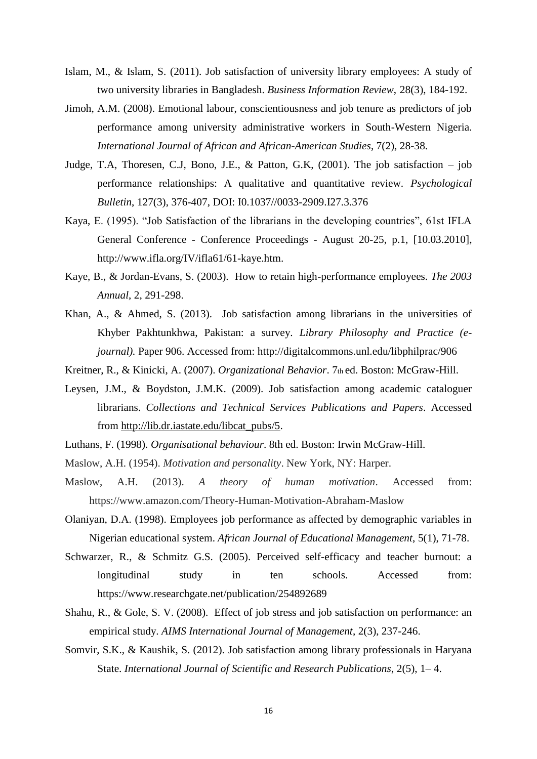- Islam, M., & Islam, S. (2011). Job satisfaction of university library employees: A study of two university libraries in Bangladesh. *Business Information Review*, 28(3), 184-192.
- Jimoh, A.M. (2008). Emotional labour, conscientiousness and job tenure as predictors of job performance among university administrative workers in South-Western Nigeria. *International Journal of African and African-American Studies*, 7(2), 28-38.
- Judge, T.A, Thoresen, C.J, Bono, J.E., & Patton, G.K,  $(2001)$ . The job satisfaction job performance relationships: A qualitative and quantitative review. *Psychological Bulletin*, 127(3), 376-407, DOI: I0.1037//0033-2909.I27.3.376
- Kaya, E. (1995). "Job Satisfaction of the librarians in the developing countries", 61st IFLA General Conference - Conference Proceedings - August 20-25, p.1, [10.03.2010], http://www.ifla.org/IV/ifla61/61-kaye.htm.
- Kaye, B., & Jordan-Evans, S. (2003). How to retain high-performance employees. *The 2003 Annual*, 2, 291-298.
- Khan, A., & Ahmed, S. (2013). Job satisfaction among librarians in the universities of Khyber Pakhtunkhwa, Pakistan: a survey. *Library Philosophy and Practice (ejournal).* Paper 906. Accessed from: http://digitalcommons.unl.edu/libphilprac/906
- Kreitner, R., & Kinicki, A. (2007). *Organizational Behavior*. 7th ed. Boston: McGraw-Hill.
- Leysen, J.M., & Boydston, J.M.K. (2009). Job satisfaction among academic cataloguer librarians. *Collections and Technical Services Publications and Papers*. Accessed from [http://lib.dr.iastate.edu/libcat\\_pubs/5.](http://lib.dr.iastate.edu/libcat_pubs/5)
- Luthans, F. (1998). *Organisational behaviour*. 8th ed. Boston: Irwin McGraw-Hill.
- Maslow, A.H. (1954). *Motivation and personality*. New York, NY: Harper.
- Maslow, A.H. (2013). *A theory of human motivation*. Accessed from: https://www.amazon.com/Theory-Human-Motivation-Abraham-Maslow
- Olaniyan, D.A. (1998). Employees job performance as affected by demographic variables in Nigerian educational system. *African Journal of Educational Management*, 5(1), 71-78.
- Schwarzer, R., & Schmitz G.S. (2005). Perceived self-efficacy and teacher burnout: a longitudinal study in ten schools. Accessed from: https://www.researchgate.net/publication/254892689
- Shahu, R., & Gole, S. V. (2008). Effect of job stress and job satisfaction on performance: an empirical study. *AIMS International Journal of Management*, 2(3), 237-246.
- Somvir, S.K., & Kaushik, S. (2012). Job satisfaction among library professionals in Haryana State. *International Journal of Scientific and Research Publications*, 2(5), 1– 4.